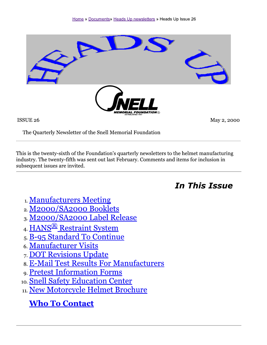

ISSUE 26

May 2, 2000

The Quarterly Newsletter of the Snell Memorial Foundation

This is the twenty-sixth of the Foundation's quarterly newsletters to the helmet manufacturing industry. The twenty-fifth was sent out last February. Comments and items for inclusion in subsequent issues are invited.

**In This Issue** 

- 1. Manufacturers Meeting
- 2. M2000/SA2000 Booklets
- 3. M2000/SA2000 Label Release
- 4. HANS<sup>®</sup> Restraint System
- 5. B-95 Standard To Continue
- 6. Manufacturer Visits
- 7. DOT Revisions Update
- 8. E-Mail Test Results For Manufacturers
- 9. Pretest Information Forms
- 10. Snell Safety Education Center
- 11. New Motorcycle Helmet Brochure

**Who To Contact**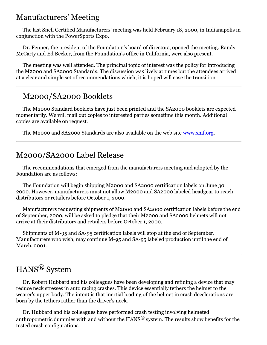### **Manufacturers' Meeting**

The last Snell Certified Manufacturers' meeting was held February 18, 2000, in Indianapolis in conjunction with the PowerSports Expo.

Dr. Fenner, the president of the Foundation's board of directors, opened the meeting. Randy McCarty and Ed Becker, from the Foundation's office in California, were also present.

The meeting was well attended. The principal topic of interest was the policy for introducing the M2000 and SA2000 Standards. The discussion was lively at times but the attendees arrived at a clear and simple set of recommendations which, it is hoped will ease the transition.

### M2000/SA2000 Booklets

The M2000 Standard booklets have just been printed and the SA2000 booklets are expected momentarily. We will mail out copies to interested parties sometime this month. Additional copies are available on request.

The M2000 and SA2000 Standards are also available on the web site www.smf.org.

### M2000/SA2000 Label Release

The recommendations that emerged from the manufacturers meeting and adopted by the Foundation are as follows:

The Foundation will begin shipping M2000 and SA2000 certification labels on June 30, 2000. However, manufacturers must not allow M2000 and SA2000 labeled headgear to reach distributors or retailers before October 1, 2000.

Manufacturers requesting shipments of M2000 and SA2000 certification labels before the end of September, 2000, will be asked to pledge that their M2000 and SA2000 helmets will not arrive at their distributors and retailers before October 1, 2000.

Shipments of M-95 and SA-95 certification labels will stop at the end of September. Manufacturers who wish, may continue M-95 and SA-95 labeled production until the end of March, 2001.

# HANS<sup>®</sup> System

Dr. Robert Hubbard and his colleagues have been developing and refining a device that may reduce neck stresses in auto racing crashes. This device essentially tethers the helmet to the wearer's upper body. The intent is that inertial loading of the helmet in crash decelerations are born by the tethers rather than the driver's neck.

Dr. Hubbard and his colleagues have performed crash testing involving helmeted anthropometric dummies with and without the HANS<sup>®</sup> system. The results show benefits for the tested crash configurations.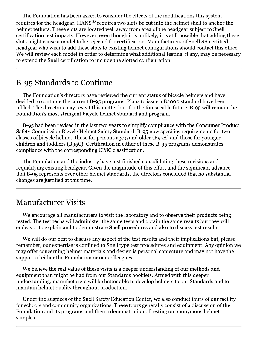The Foundation has been asked to consider the effects of the modifications this system requires for the headgear. HANS<sup>®</sup> requires two slots be cut into the helmet shell to anchor the helmet tethers. These slots are located well away from area of the headgear subject to Snell certification test impacts. However, even though it is unlikely, it is still possible that adding these slots might cause a model to be rejected for certification. Manufacturers of Snell SA certified headgear who wish to add these slots to existing helmet configurations should contact this office. We will review each model in order to determine what additional testing, if any, may be necessary to extend the Snell certification to include the slotted configuration.

### B-95 Standards to Continue

The Foundation's directors have reviewed the current status of bicycle helmets and have decided to continue the current B-95 programs. Plans to issue a B2000 standard have been tabled. The directors may revisit this matter but, for the foreseeable future, B-95 will remain the Foundation's most stringent bicycle helmet standard and program.

B-95 had been revised in the last two years to simplify compliance with the Consumer Product Safety Commission Bicycle Helmet Safety Standard. B-95 now specifies requirements for two classes of bicycle helmet: those for persons age 5 and older (B95A) and those for younger children and toddlers (B95C). Certification in either of these B-95 programs demonstrates compliance with the corresponding CPSC classification.

The Foundation and the industry have just finished consolidating these revisions and requalifying existing headgear. Given the magnitude of this effort and the significant advance that B-95 represents over other helmet standards, the directors concluded that no substantial changes are justified at this time.

### **Manufacturer Visits**

We encourage all manufacturers to visit the laboratory and to observe their products being tested. The test techs will administer the same tests and obtain the same results but they will endeavor to explain and to demonstrate Snell procedures and also to discuss test results.

We will do our best to discuss any aspect of the test results and their implications but, please remember, our expertise is confined to Snell type test procedures and equipment. Any opinion we may offer concerning helmet materials and design is personal conjecture and may not have the support of either the Foundation or our colleagues.

We believe the real value of these visits is a deeper understanding of our methods and equipment than might be had from our Standards booklets. Armed with this deeper understanding, manufacturers will be better able to develop helmets to our Standards and to maintain helmet quality throughout production.

Under the auspices of the Snell Safety Education Center, we also conduct tours of our facility for schools and community organizations. These tours generally consist of a discussion of the Foundation and its programs and then a demonstration of testing on anonymous helmet samples.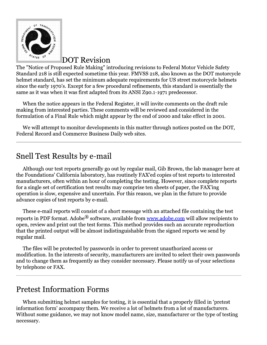

#### **DOT Revision**

The "Notice of Proposed Rule Making" introducing revisions to Federal Motor Vehicle Safety Standard 218 is still expected sometime this year. FMVSS 218, also known as the DOT motorcycle helmet standard, has set the minimum adequate requirements for US street motorcycle helmets since the early 1970's. Except for a few procedural refinements, this standard is essentially the same as it was when it was first adapted from its ANSI Z90.1-1971 predecessor.

When the notice appears in the Federal Register, it will invite comments on the draft rule making from interested parties. These comments will be reviewed and considered in the formulation of a Final Rule which might appear by the end of 2000 and take effect in 2001.

We will attempt to monitor developments in this matter through notices posted on the DOT, Federal Record and Commerce Business Daily web sites.

# Snell Test Results by e-mail

Although our test reports generally go out by regular mail, Gib Brown, the lab manager here at the Foundations' California laboratory, has routinely FAX'ed copies of test reports to interested manufacturers, often within an hour of completing the testing. However, since complete reports for a single set of certification test results may comprise ten sheets of paper, the FAX'ing operation is slow, expensive and uncertain. For this reason, we plan in the future to provide advance copies of test reports by e-mail.

These e-mail reports will consist of a short message with an attached file containing the test reports in PDF format. Adobe<sup>®</sup> software, available from www.adobe.com will allow recipients to open, review and print out the test forms. This method provides such an accurate reproduction that the printed output will be almost indistinguishable from the signed reports we send by regular mail.

The files will be protected by passwords in order to prevent unauthorized access or modification. In the interests of security, manufacturers are invited to select their own passwords and to change them as frequently as they consider necessary. Please notify us of your selections by telephone or FAX.

### **Pretest Information Forms**

When submitting helmet samples for testing, it is essential that a properly filled in 'pretest information form' accompany them. We receive a lot of helmets from a lot of manufacturers. Without some guidance, we may not know model name, size, manufacturer or the type of testing necessary.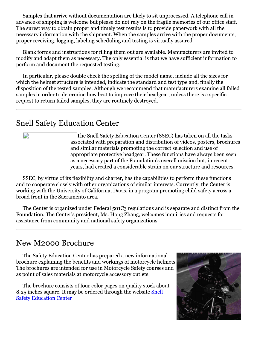Samples that arrive without documentation are likely to sit unprocessed. A telephone call in advance of shipping is welcome but please do not rely on the fragile memories of our office staff. The surest way to obtain proper and timely test results is to provide paperwork with all the necessary information with the shipment. When the samples arrive with the proper documents, proper receiving, logging, labeling scheduling and testing is virtually assured.

Blank forms and instructions for filling them out are available. Manufacturers are invited to modify and adapt them as necessary. The only essential is that we have sufficient information to perform and document the requested testing.

In particular, please double check the spelling of the model name, include all the sizes for which the helmet structure is intended, indicate the standard and test type and, finally the disposition of the tested samples. Although we recommend that manufacturers examine all failed samples in order to determine how best to improve their headgear, unless there is a specific request to return failed samples, they are routinely destroyed.

#### **Snell Safety Education Center**

The Snell Safety Education Center (SSEC) has taken on all the tasks associated with preparation and distribution of videos, posters, brochures and similar materials promoting the correct selection and use of appropriate protective headgear. These functions have always been seen as a necessary part of the Foundation's overall mission but, in recent years, had created a considerable strain on our structure and resources.

SSEC, by virtue of its flexibility and charter, has the capabilities to perform these functions and to cooperate closely with other organizations of similar interests. Currently, the Center is working with the University of California, Davis, in a program promoting child safety across a broad front in the Sacramento area.

The Center is organized under Federal 501C3 regulations and is separate and distinct from the Foundation. The Center's president, Ms. Hong Zhang, welcomes inquiries and requests for assistance from community and national safety organizations.

### New M2000 Brochure

The Safety Education Center has prepared a new informational brochure explaining the benefits and workings of motorcycle helmets. The brochures are intended for use in Motorcycle Safety courses and as point of sales materials at motorcycle accessory outlets.

The brochure consists of four color pages on quality stock about 8.25 inches square. It may be ordered through the website Snell **Safety Education Center**